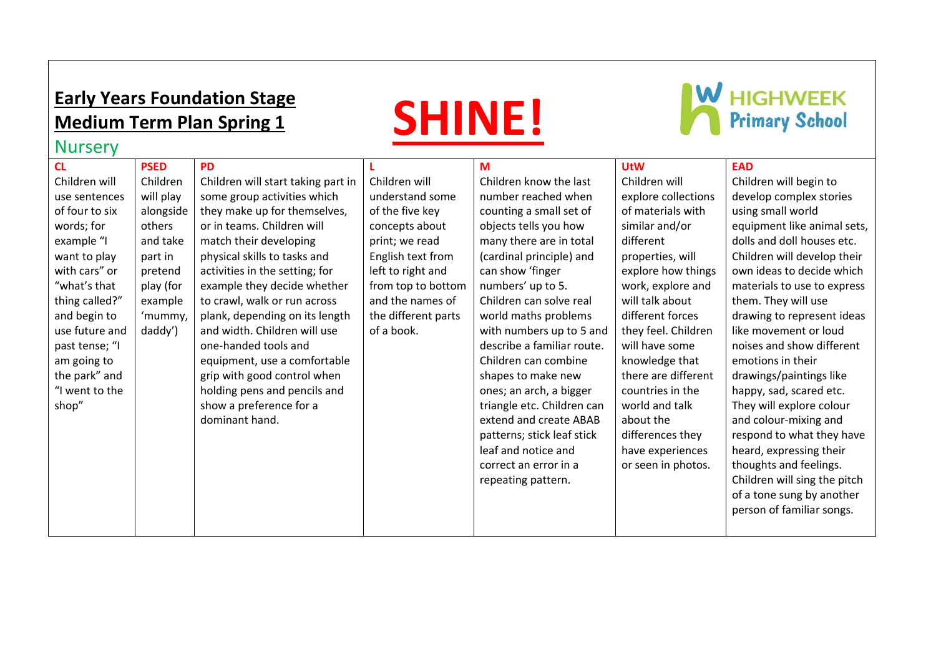## **Early Years Foundation Stage Medium Term Plan Spring 1**





## Nursery

| <b>CL</b>      | <b>PSED</b> | <b>PD</b>                          |                     | M                          | <b>UtW</b>          | <b>EAD</b>                   |
|----------------|-------------|------------------------------------|---------------------|----------------------------|---------------------|------------------------------|
| Children will  | Children    | Children will start taking part in | Children will       | Children know the last     | Children will       | Children will begin to       |
| use sentences  | will play   | some group activities which        | understand some     | number reached when        | explore collections | develop complex stories      |
| of four to six | alongside   | they make up for themselves,       | of the five key     | counting a small set of    | of materials with   | using small world            |
| words; for     | others      | or in teams. Children will         | concepts about      | objects tells you how      | similar and/or      | equipment like animal sets,  |
| example "I     | and take    | match their developing             | print; we read      | many there are in total    | different           | dolls and doll houses etc.   |
| want to play   | part in     | physical skills to tasks and       | English text from   | (cardinal principle) and   | properties, will    | Children will develop their  |
| with cars" or  | pretend     | activities in the setting; for     | left to right and   | can show 'finger           | explore how things  | own ideas to decide which    |
| "what's that   | play (for   | example they decide whether        | from top to bottom  | numbers' up to 5.          | work, explore and   | materials to use to express  |
| thing called?" | example     | to crawl, walk or run across       | and the names of    | Children can solve real    | will talk about     | them. They will use          |
| and begin to   | 'mummy,     | plank, depending on its length     | the different parts | world maths problems       | different forces    | drawing to represent ideas   |
| use future and | daddy')     | and width. Children will use       | of a book.          | with numbers up to 5 and   | they feel. Children | like movement or loud        |
| past tense; "I |             | one-handed tools and               |                     | describe a familiar route. | will have some      | noises and show different    |
| am going to    |             | equipment, use a comfortable       |                     | Children can combine       | knowledge that      | emotions in their            |
| the park" and  |             | grip with good control when        |                     | shapes to make new         | there are different | drawings/paintings like      |
| "I went to the |             | holding pens and pencils and       |                     | ones; an arch, a bigger    | countries in the    | happy, sad, scared etc.      |
| shop"          |             | show a preference for a            |                     | triangle etc. Children can | world and talk      | They will explore colour     |
|                |             | dominant hand.                     |                     | extend and create ABAB     | about the           | and colour-mixing and        |
|                |             |                                    |                     | patterns; stick leaf stick | differences they    | respond to what they have    |
|                |             |                                    |                     | leaf and notice and        | have experiences    | heard, expressing their      |
|                |             |                                    |                     | correct an error in a      | or seen in photos.  | thoughts and feelings.       |
|                |             |                                    |                     | repeating pattern.         |                     | Children will sing the pitch |
|                |             |                                    |                     |                            |                     | of a tone sung by another    |
|                |             |                                    |                     |                            |                     | person of familiar songs.    |
|                |             |                                    |                     |                            |                     |                              |